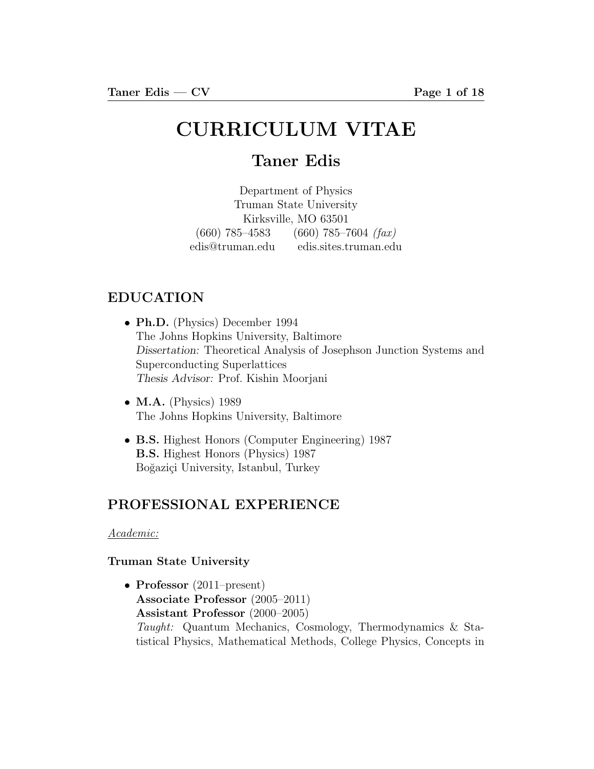# CURRICULUM VITAE

## Taner Edis

Department of Physics Truman State University Kirksville, MO 63501  $(660)$  785–4583  $(660)$  785–7604  $(fax)$ edis@truman.edu edis.sites.truman.edu

## EDUCATION

- Ph.D. (Physics) December 1994 The Johns Hopkins University, Baltimore Dissertation: Theoretical Analysis of Josephson Junction Systems and Superconducting Superlattices Thesis Advisor: Prof. Kishin Moorjani
- $M.A.$  (Physics) 1989 The Johns Hopkins University, Baltimore
- B.S. Highest Honors (Computer Engineering) 1987 B.S. Highest Honors (Physics) 1987 Boğaziçi University, Istanbul, Turkey

## PROFESSIONAL EXPERIENCE

#### Academic:

#### Truman State University

• Professor (2011–present) Associate Professor (2005–2011) Assistant Professor (2000–2005) Taught: Quantum Mechanics, Cosmology, Thermodynamics & Statistical Physics, Mathematical Methods, College Physics, Concepts in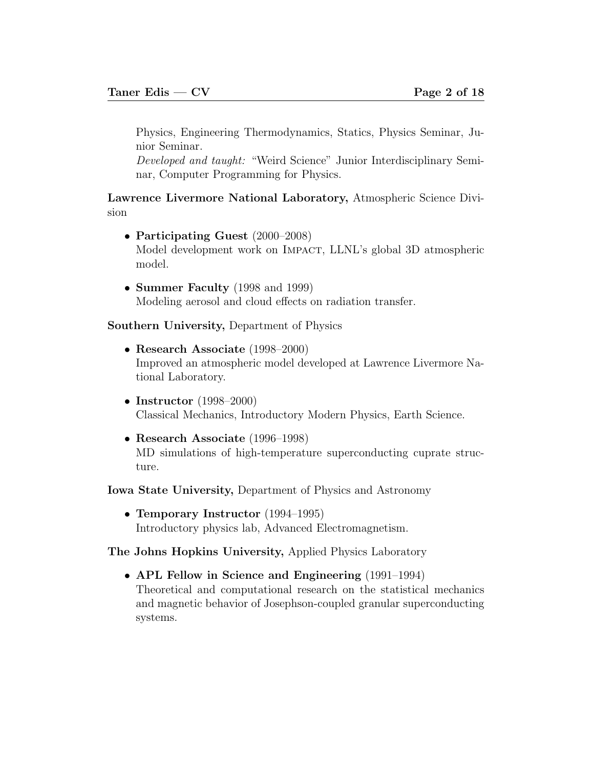Physics, Engineering Thermodynamics, Statics, Physics Seminar, Junior Seminar.

Developed and taught: "Weird Science" Junior Interdisciplinary Seminar, Computer Programming for Physics.

Lawrence Livermore National Laboratory, Atmospheric Science Division

- Participating Guest (2000–2008) Model development work on IMPACT, LLNL's global 3D atmospheric model.
- Summer Faculty (1998 and 1999) Modeling aerosol and cloud effects on radiation transfer.

Southern University, Department of Physics

- Research Associate (1998–2000) Improved an atmospheric model developed at Lawrence Livermore National Laboratory.
- Instructor (1998–2000) Classical Mechanics, Introductory Modern Physics, Earth Science.
- Research Associate (1996–1998) MD simulations of high-temperature superconducting cuprate structure.

Iowa State University, Department of Physics and Astronomy

• Temporary Instructor (1994–1995) Introductory physics lab, Advanced Electromagnetism.

The Johns Hopkins University, Applied Physics Laboratory

• APL Fellow in Science and Engineering (1991–1994) Theoretical and computational research on the statistical mechanics and magnetic behavior of Josephson-coupled granular superconducting systems.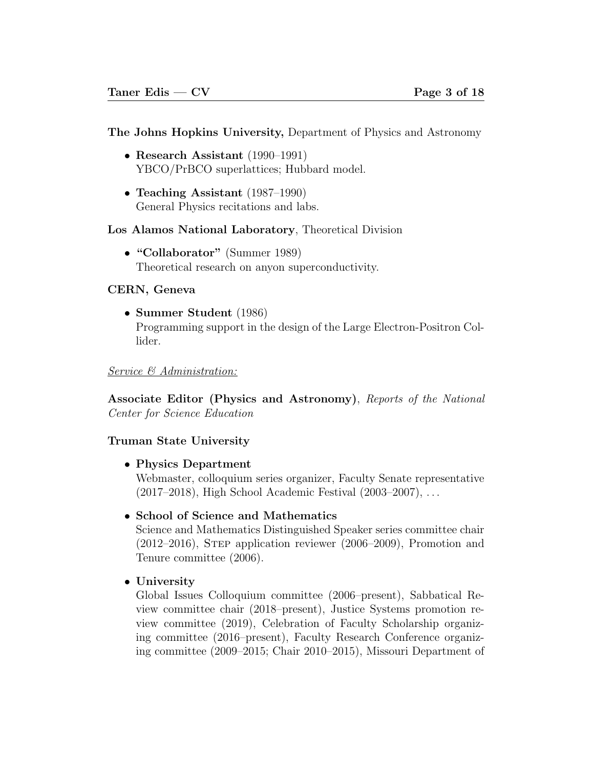#### The Johns Hopkins University, Department of Physics and Astronomy

- Research Assistant (1990–1991) YBCO/PrBCO superlattices; Hubbard model.
- Teaching Assistant (1987–1990) General Physics recitations and labs.

#### Los Alamos National Laboratory, Theoretical Division

• "Collaborator" (Summer 1989) Theoretical research on anyon superconductivity.

#### CERN, Geneva

• Summer Student (1986) Programming support in the design of the Large Electron-Positron Collider.

#### Service & Administration:

Associate Editor (Physics and Astronomy), Reports of the National Center for Science Education

#### Truman State University

• Physics Department

Webmaster, colloquium series organizer, Faculty Senate representative (2017–2018), High School Academic Festival (2003–2007), . . .

• School of Science and Mathematics

Science and Mathematics Distinguished Speaker series committee chair (2012–2016), Step application reviewer (2006–2009), Promotion and Tenure committee (2006).

#### • University

Global Issues Colloquium committee (2006–present), Sabbatical Review committee chair (2018–present), Justice Systems promotion review committee (2019), Celebration of Faculty Scholarship organizing committee (2016–present), Faculty Research Conference organizing committee (2009–2015; Chair 2010–2015), Missouri Department of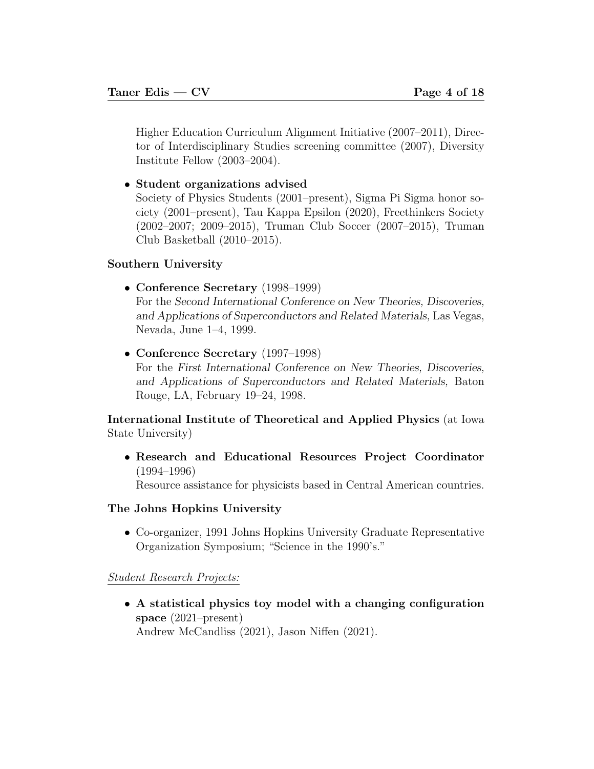Higher Education Curriculum Alignment Initiative (2007–2011), Director of Interdisciplinary Studies screening committee (2007), Diversity Institute Fellow (2003–2004).

• Student organizations advised

Society of Physics Students (2001–present), Sigma Pi Sigma honor society (2001–present), Tau Kappa Epsilon (2020), Freethinkers Society (2002–2007; 2009–2015), Truman Club Soccer (2007–2015), Truman Club Basketball (2010–2015).

#### Southern University

• Conference Secretary (1998–1999)

For the Second International Conference on New Theories, Discoveries, and Applications of Superconductors and Related Materials, Las Vegas, Nevada, June 1–4, 1999.

• Conference Secretary (1997–1998)

For the First International Conference on New Theories, Discoveries, and Applications of Superconductors and Related Materials, Baton Rouge, LA, February 19–24, 1998.

International Institute of Theoretical and Applied Physics (at Iowa State University)

• Research and Educational Resources Project Coordinator (1994–1996)

Resource assistance for physicists based in Central American countries.

#### The Johns Hopkins University

• Co-organizer, 1991 Johns Hopkins University Graduate Representative Organization Symposium; "Science in the 1990's."

#### Student Research Projects:

• A statistical physics toy model with a changing configuration space (2021–present) Andrew McCandliss (2021), Jason Niffen (2021).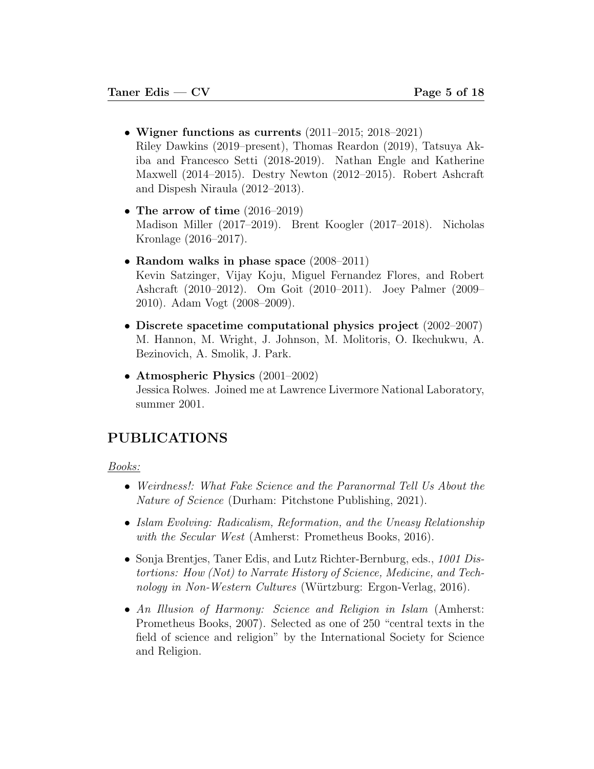- Wigner functions as currents (2011–2015; 2018–2021) Riley Dawkins (2019–present), Thomas Reardon (2019), Tatsuya Akiba and Francesco Setti (2018-2019). Nathan Engle and Katherine Maxwell (2014–2015). Destry Newton (2012–2015). Robert Ashcraft and Dispesh Niraula (2012–2013).
- The arrow of time (2016–2019) Madison Miller (2017–2019). Brent Koogler (2017–2018). Nicholas Kronlage (2016–2017).
- Random walks in phase space (2008–2011) Kevin Satzinger, Vijay Koju, Miguel Fernandez Flores, and Robert Ashcraft (2010–2012). Om Goit (2010–2011). Joey Palmer (2009– 2010). Adam Vogt (2008–2009).
- Discrete spacetime computational physics project (2002–2007) M. Hannon, M. Wright, J. Johnson, M. Molitoris, O. Ikechukwu, A. Bezinovich, A. Smolik, J. Park.
- Atmospheric Physics (2001–2002) Jessica Rolwes. Joined me at Lawrence Livermore National Laboratory, summer 2001.

## PUBLICATIONS

Books:

- Weirdness!: What Fake Science and the Paranormal Tell Us About the Nature of Science (Durham: Pitchstone Publishing, 2021).
- Islam Evolving: Radicalism, Reformation, and the Uneasy Relationship with the Secular West (Amherst: Prometheus Books, 2016).
- Sonja Brentjes, Taner Edis, and Lutz Richter-Bernburg, eds., 1001 Distortions: How (Not) to Narrate History of Science, Medicine, and Technology in Non-Western Cultures (Würtzburg: Ergon-Verlag, 2016).
- An Illusion of Harmony: Science and Religion in Islam (Amherst: Prometheus Books, 2007). Selected as one of 250 "central texts in the field of science and religion" by the International Society for Science and Religion.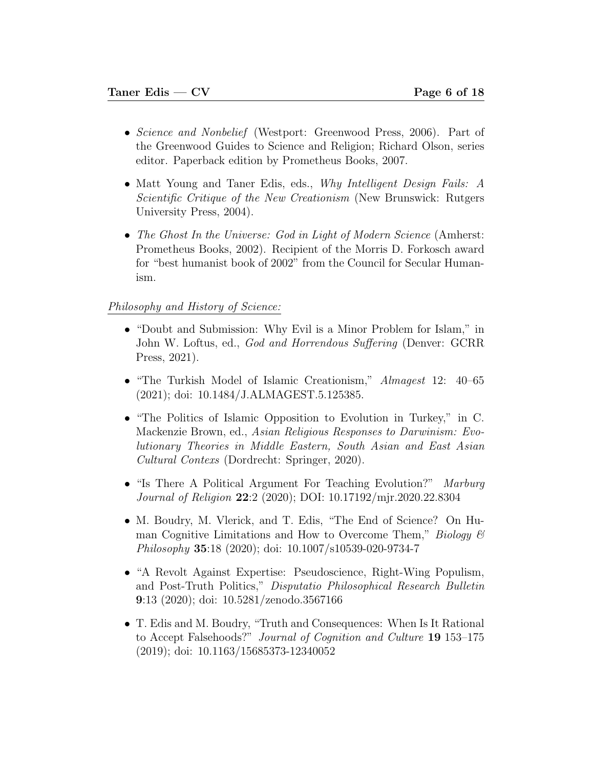- Science and Nonbelief (Westport: Greenwood Press, 2006). Part of the Greenwood Guides to Science and Religion; Richard Olson, series editor. Paperback edition by Prometheus Books, 2007.
- Matt Young and Taner Edis, eds., Why Intelligent Design Fails: A Scientific Critique of the New Creationism (New Brunswick: Rutgers University Press, 2004).
- The Ghost In the Universe: God in Light of Modern Science (Amherst: Prometheus Books, 2002). Recipient of the Morris D. Forkosch award for "best humanist book of 2002" from the Council for Secular Humanism.

#### Philosophy and History of Science:

- "Doubt and Submission: Why Evil is a Minor Problem for Islam," in John W. Loftus, ed., God and Horrendous Suffering (Denver: GCRR Press, 2021).
- "The Turkish Model of Islamic Creationism," Almagest 12: 40–65 (2021); doi: 10.1484/J.ALMAGEST.5.125385.
- "The Politics of Islamic Opposition to Evolution in Turkey," in C. Mackenzie Brown, ed., Asian Religious Responses to Darwinism: Evolutionary Theories in Middle Eastern, South Asian and East Asian Cultural Contexs (Dordrecht: Springer, 2020).
- "Is There A Political Argument For Teaching Evolution?" Marburg Journal of Religion 22:2 (2020); DOI: 10.17192/mjr.2020.22.8304
- M. Boudry, M. Vlerick, and T. Edis, "The End of Science? On Human Cognitive Limitations and How to Overcome Them," Biology  $\mathcal B$ Philosophy 35:18 (2020); doi: 10.1007/s10539-020-9734-7
- "A Revolt Against Expertise: Pseudoscience, Right-Wing Populism, and Post-Truth Politics," Disputatio Philosophical Research Bulletin 9:13 (2020); doi: 10.5281/zenodo.3567166
- T. Edis and M. Boudry, "Truth and Consequences: When Is It Rational to Accept Falsehoods?" Journal of Cognition and Culture 19 153-175 (2019); doi: 10.1163/15685373-12340052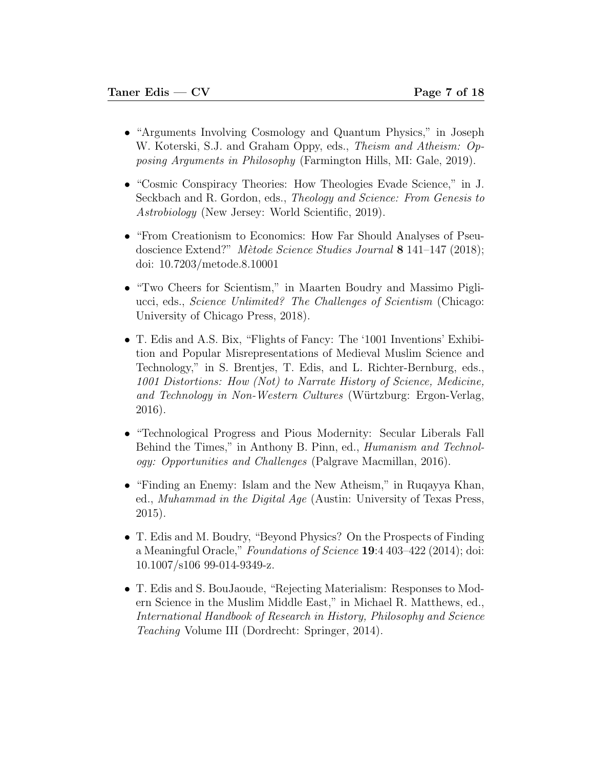- "Arguments Involving Cosmology and Quantum Physics," in Joseph W. Koterski, S.J. and Graham Oppy, eds., *Theism and Atheism: Op*posing Arguments in Philosophy (Farmington Hills, MI: Gale, 2019).
- "Cosmic Conspiracy Theories: How Theologies Evade Science," in J. Seckbach and R. Gordon, eds., Theology and Science: From Genesis to Astrobiology (New Jersey: World Scientific, 2019).
- "From Creationism to Economics: How Far Should Analyses of Pseudoscience Extend?" Mètode Science Studies Journal 8 141–147 (2018); doi: 10.7203/metode.8.10001
- "Two Cheers for Scientism," in Maarten Boudry and Massimo Pigliucci, eds., Science Unlimited? The Challenges of Scientism (Chicago: University of Chicago Press, 2018).
- T. Edis and A.S. Bix, "Flights of Fancy: The '1001 Inventions' Exhibition and Popular Misrepresentations of Medieval Muslim Science and Technology," in S. Brentjes, T. Edis, and L. Richter-Bernburg, eds., 1001 Distortions: How (Not) to Narrate History of Science, Medicine, and Technology in Non-Western Cultures (Würtzburg: Ergon-Verlag, 2016).
- "Technological Progress and Pious Modernity: Secular Liberals Fall Behind the Times," in Anthony B. Pinn, ed., Humanism and Technology: Opportunities and Challenges (Palgrave Macmillan, 2016).
- "Finding an Enemy: Islam and the New Atheism," in Ruqayya Khan, ed., Muhammad in the Digital Age (Austin: University of Texas Press, 2015).
- T. Edis and M. Boudry, "Beyond Physics? On the Prospects of Finding a Meaningful Oracle," Foundations of Science 19:4 403-422 (2014); doi: 10.1007/s106 99-014-9349-z.
- T. Edis and S. BouJaoude, "Rejecting Materialism: Responses to Modern Science in the Muslim Middle East," in Michael R. Matthews, ed., International Handbook of Research in History, Philosophy and Science Teaching Volume III (Dordrecht: Springer, 2014).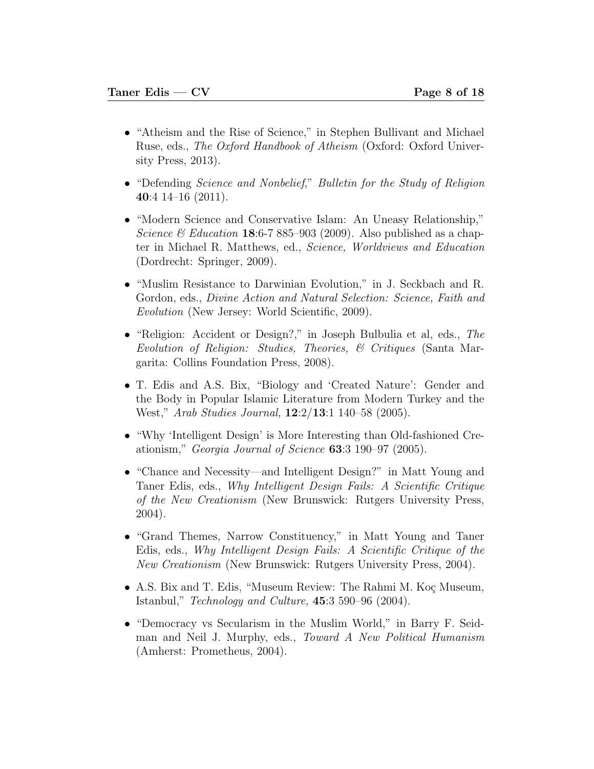- "Atheism and the Rise of Science," in Stephen Bullivant and Michael Ruse, eds., The Oxford Handbook of Atheism (Oxford: Oxford University Press, 2013).
- "Defending *Science and Nonbelief*," *Bulletin for the Study of Religion* 40:4 14–16 (2011).
- "Modern Science and Conservative Islam: An Uneasy Relationship," Science & Education 18:6-7 885-903 (2009). Also published as a chapter in Michael R. Matthews, ed., Science, Worldviews and Education (Dordrecht: Springer, 2009).
- "Muslim Resistance to Darwinian Evolution," in J. Seckbach and R. Gordon, eds., Divine Action and Natural Selection: Science, Faith and Evolution (New Jersey: World Scientific, 2009).
- "Religion: Accident or Design?," in Joseph Bulbulia et al, eds., The Evolution of Religion: Studies, Theories, & Critiques (Santa Margarita: Collins Foundation Press, 2008).
- T. Edis and A.S. Bix, "Biology and 'Created Nature': Gender and the Body in Popular Islamic Literature from Modern Turkey and the West," Arab Studies Journal, 12:2/13:1 140–58 (2005).
- "Why 'Intelligent Design' is More Interesting than Old-fashioned Creationism," Georgia Journal of Science 63:3 190–97 (2005).
- "Chance and Necessity—and Intelligent Design?" in Matt Young and Taner Edis, eds., Why Intelligent Design Fails: A Scientific Critique of the New Creationism (New Brunswick: Rutgers University Press, 2004).
- "Grand Themes, Narrow Constituency," in Matt Young and Taner Edis, eds., Why Intelligent Design Fails: A Scientific Critique of the New Creationism (New Brunswick: Rutgers University Press, 2004).
- A.S. Bix and T. Edis, "Museum Review: The Rahmi M. Koç Museum, Istanbul," Technology and Culture, 45:3 590–96 (2004).
- "Democracy vs Secularism in the Muslim World," in Barry F. Seidman and Neil J. Murphy, eds., Toward A New Political Humanism (Amherst: Prometheus, 2004).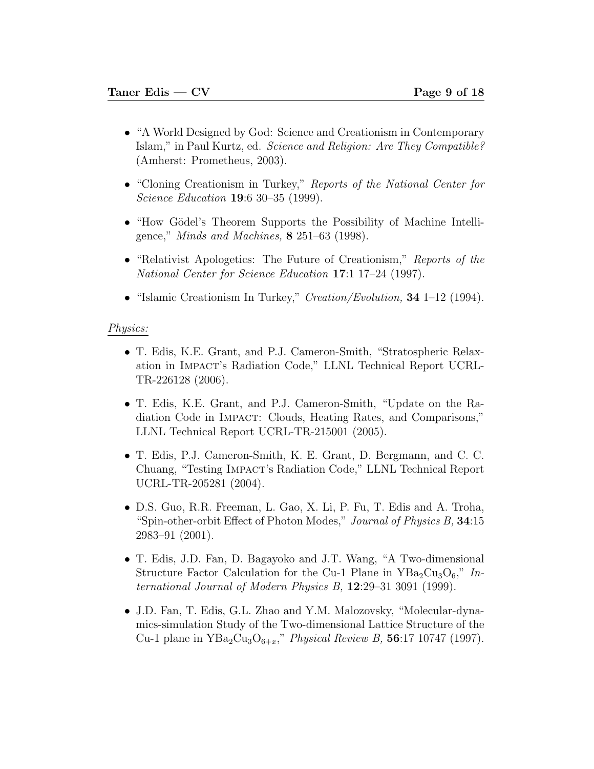- "A World Designed by God: Science and Creationism in Contemporary Islam," in Paul Kurtz, ed. Science and Religion: Are They Compatible? (Amherst: Prometheus, 2003).
- "Cloning Creationism in Turkey," Reports of the National Center for Science Education **19**:6 30–35 (1999).
- "How Gödel's Theorem Supports the Possibility of Machine Intelligence," Minds and Machines, 8 251–63 (1998).
- "Relativist Apologetics: The Future of Creationism," Reports of the National Center for Science Education 17:1 17–24 (1997).
- "Islamic Creationism In Turkey," *Creation/Evolution*, **34** 1–12 (1994).

#### Physics:

- T. Edis, K.E. Grant, and P.J. Cameron-Smith, "Stratospheric Relaxation in Impact's Radiation Code," LLNL Technical Report UCRL-TR-226128 (2006).
- T. Edis, K.E. Grant, and P.J. Cameron-Smith, "Update on the Radiation Code in Impact: Clouds, Heating Rates, and Comparisons," LLNL Technical Report UCRL-TR-215001 (2005).
- T. Edis, P.J. Cameron-Smith, K. E. Grant, D. Bergmann, and C. C. Chuang, "Testing Impact's Radiation Code," LLNL Technical Report UCRL-TR-205281 (2004).
- D.S. Guo, R.R. Freeman, L. Gao, X. Li, P. Fu, T. Edis and A. Troha, "Spin-other-orbit Effect of Photon Modes," Journal of Physics B, 34:15 2983–91 (2001).
- T. Edis, J.D. Fan, D. Bagayoko and J.T. Wang, "A Two-dimensional Structure Factor Calculation for the Cu-1 Plane in  $YBa<sub>2</sub>Cu<sub>3</sub>O<sub>6</sub>$ ," International Journal of Modern Physics B,  $12:29-31$  3091 (1999).
- J.D. Fan, T. Edis, G.L. Zhao and Y.M. Malozovsky, "Molecular-dynamics-simulation Study of the Two-dimensional Lattice Structure of the Cu-1 plane in  $YBa_2Cu_3O_{6+x}$ ," *Physical Review B*, **56**:17 10747 (1997).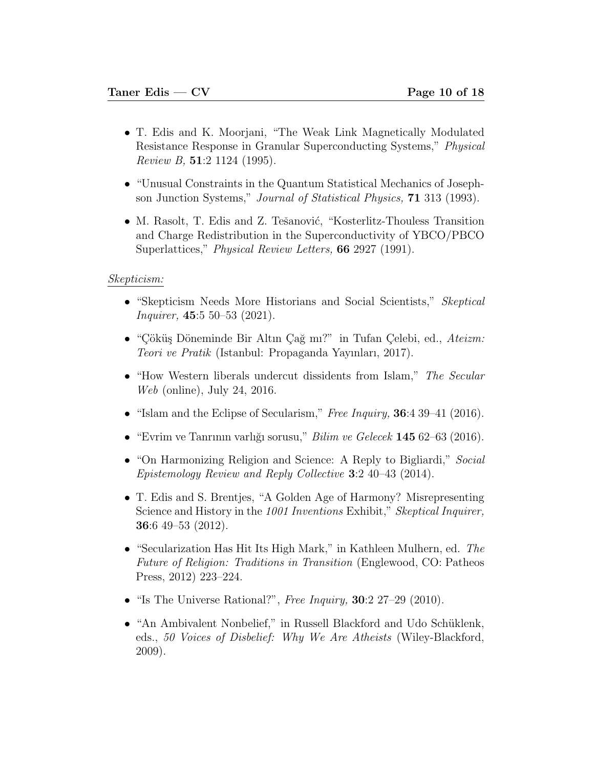- T. Edis and K. Moorjani, "The Weak Link Magnetically Modulated Resistance Response in Granular Superconducting Systems," Physical Review B,  $51:2$  1124 (1995).
- "Unusual Constraints in the Quantum Statistical Mechanics of Josephson Junction Systems," Journal of Statistical Physics, 71 313 (1993).
- M. Rasolt, T. Edis and Z. Tešanović, "Kosterlitz-Thouless Transition and Charge Redistribution in the Superconductivity of YBCO/PBCO Superlattices," *Physical Review Letters*, **66** 2927 (1991).

#### Skepticism:

- "Skepticism Needs More Historians and Social Scientists," Skeptical Inquirer, 45:5 50–53 (2021).
- "Çöküş Döneminde Bir Altın Çağ mı?" in Tufan Çelebi, ed., Ateizm: Teori ve Pratik (Istanbul: Propaganda Yayınları, 2017).
- "How Western liberals undercut dissidents from Islam," The Secular Web (online), July 24, 2016.
- "Islam and the Eclipse of Secularism," Free Inquiry, 36:4 39–41 (2016).
- "Evrim ve Tanrının varlığı sorusu," *Bilim ve Gelecek* 145 62–63 (2016).
- "On Harmonizing Religion and Science: A Reply to Bigliardi," Social Epistemology Review and Reply Collective 3:2 40–43 (2014).
- T. Edis and S. Brentjes, "A Golden Age of Harmony? Misrepresenting Science and History in the 1001 Inventions Exhibit," Skeptical Inquirer, 36:6 49–53 (2012).
- "Secularization Has Hit Its High Mark," in Kathleen Mulhern, ed. The Future of Religion: Traditions in Transition (Englewood, CO: Patheos Press, 2012) 223–224.
- "Is The Universe Rational?", Free Inquiry,  $30:2$  27–29 (2010).
- "An Ambivalent Nonbelief," in Russell Blackford and Udo Schüklenk, eds., 50 Voices of Disbelief: Why We Are Atheists (Wiley-Blackford, 2009).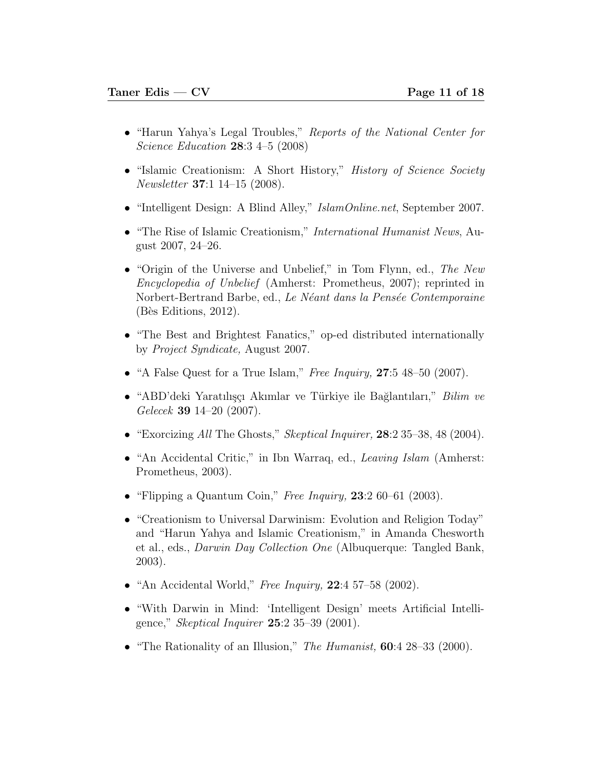- "Harun Yahya's Legal Troubles," Reports of the National Center for Science Education 28:3 4–5 (2008)
- "Islamic Creationism: A Short History," History of Science Society Newsletter 37:1 14–15 (2008).
- "Intelligent Design: A Blind Alley," *IslamOnline.net*, September 2007.
- "The Rise of Islamic Creationism," *International Humanist News*, August 2007, 24–26.
- "Origin of the Universe and Unbelief," in Tom Flynn, ed., The New Encyclopedia of Unbelief (Amherst: Prometheus, 2007); reprinted in Norbert-Bertrand Barbe, ed., Le Néant dans la Pensée Contemporaine  $(B\$ is Editions, 2012).
- "The Best and Brightest Fanatics," op-ed distributed internationally by Project Syndicate, August 2007.
- "A False Quest for a True Islam," Free Inquiry,  $27.5$  48–50 (2007).
- "ABD'deki Yaratılışçı Akımlar ve Türkiye ile Bağlantıları," *Bilim ve* Gelecek 39 14–20 (2007).
- "Exorcizing All The Ghosts," Skeptical Inquirer, 28:2 35–38, 48 (2004).
- "An Accidental Critic," in Ibn Warraq, ed., *Leaving Islam* (Amherst: Prometheus, 2003).
- "Flipping a Quantum Coin," Free Inquiry,  $23:260-61(2003)$ .
- "Creationism to Universal Darwinism: Evolution and Religion Today" and "Harun Yahya and Islamic Creationism," in Amanda Chesworth et al., eds., Darwin Day Collection One (Albuquerque: Tangled Bank, 2003).
- "An Accidental World," Free Inquiry,  $22:4$  57–58 (2002).
- "With Darwin in Mind: 'Intelligent Design' meets Artificial Intelligence," Skeptical Inquirer 25:2 35–39 (2001).
- "The Rationality of an Illusion," The Humanist,  $60:4$  28–33 (2000).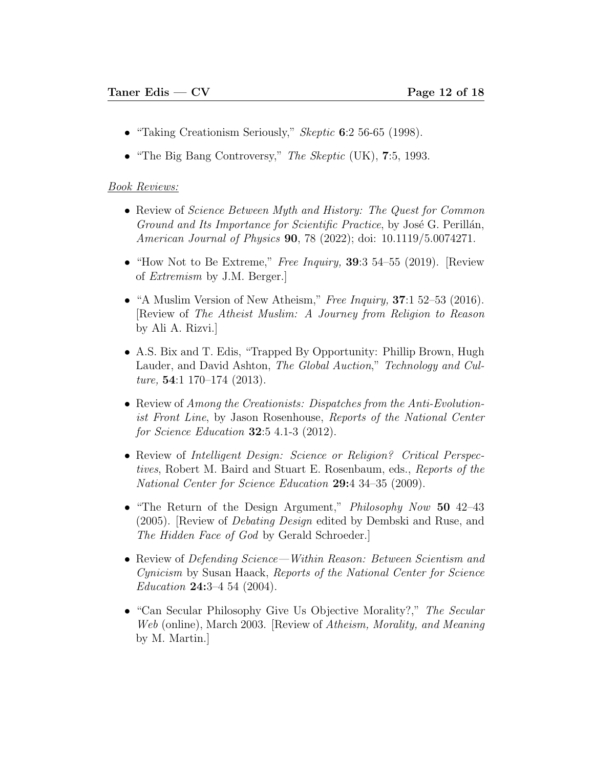- "Taking Creationism Seriously," *Skeptic* 6:2 56-65 (1998).
- "The Big Bang Controversy," The Skeptic (UK),  $7:5$ , 1993.

#### Book Reviews:

- Review of *Science Between Myth and History: The Quest for Common* Ground and Its Importance for Scientific Practice, by José G. Perillán, American Journal of Physics **90**, 78 (2022); doi: 10.1119/5.0074271.
- "How Not to Be Extreme," Free Inquiry,  $39:3$  54–55 (2019). [Review of Extremism by J.M. Berger.]
- "A Muslim Version of New Atheism," Free Inquiry,  $37:152-53$  (2016). [Review of The Atheist Muslim: A Journey from Religion to Reason by Ali A. Rizvi.]
- A.S. Bix and T. Edis, "Trapped By Opportunity: Phillip Brown, Hugh Lauder, and David Ashton, The Global Auction," Technology and Culture,  $54:1$  170–174 (2013).
- Review of Among the Creationists: Dispatches from the Anti-Evolutionist Front Line, by Jason Rosenhouse, Reports of the National Center for Science Education 32:5 4.1-3 (2012).
- Review of Intelligent Design: Science or Religion? Critical Perspectives, Robert M. Baird and Stuart E. Rosenbaum, eds., Reports of the National Center for Science Education 29:4 34-35 (2009).
- "The Return of the Design Argument," *Philosophy Now* 50 42–43 (2005). [Review of Debating Design edited by Dembski and Ruse, and The Hidden Face of God by Gerald Schroeder.]
- Review of *Defending Science—Within Reason: Between Scientism and* Cynicism by Susan Haack, Reports of the National Center for Science Education 24:3-4 54 (2004).
- "Can Secular Philosophy Give Us Objective Morality?," The Secular Web (online), March 2003. [Review of Atheism, Morality, and Meaning by M. Martin.]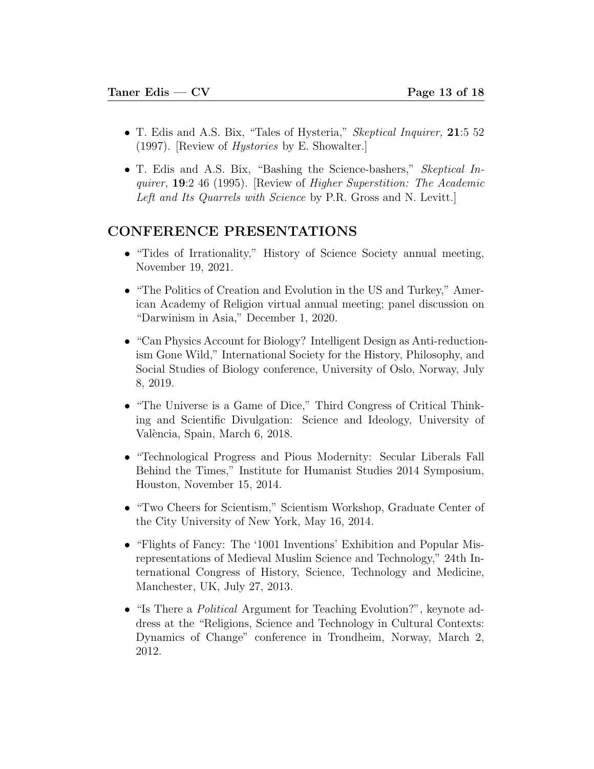- T. Edis and A.S. Bix, "Tales of Hysteria," *Skeptical Inquirer*, 21:5 52 (1997). [Review of Hystories by E. Showalter.]
- T. Edis and A.S. Bix, "Bashing the Science-bashers," Skeptical Inquirer, 19:2 46 (1995). [Review of Higher Superstition: The Academic Left and Its Quarrels with Science by P.R. Gross and N. Levitt.

## CONFERENCE PRESENTATIONS

- "Tides of Irrationality," History of Science Society annual meeting, November 19, 2021.
- "The Politics of Creation and Evolution in the US and Turkey," American Academy of Religion virtual annual meeting; panel discussion on "Darwinism in Asia," December 1, 2020.
- "Can Physics Account for Biology? Intelligent Design as Anti-reductionism Gone Wild," International Society for the History, Philosophy, and Social Studies of Biology conference, University of Oslo, Norway, July 8, 2019.
- "The Universe is a Game of Dice," Third Congress of Critical Thinking and Scientific Divulgation: Science and Ideology, University of València, Spain, March 6, 2018.
- "Technological Progress and Pious Modernity: Secular Liberals Fall Behind the Times," Institute for Humanist Studies 2014 Symposium, Houston, November 15, 2014.
- "Two Cheers for Scientism," Scientism Workshop, Graduate Center of the City University of New York, May 16, 2014.
- "Flights of Fancy: The '1001 Inventions' Exhibition and Popular Misrepresentations of Medieval Muslim Science and Technology," 24th International Congress of History, Science, Technology and Medicine, Manchester, UK, July 27, 2013.
- "Is There a *Political* Argument for Teaching Evolution?", keynote address at the "Religions, Science and Technology in Cultural Contexts: Dynamics of Change" conference in Trondheim, Norway, March 2, 2012.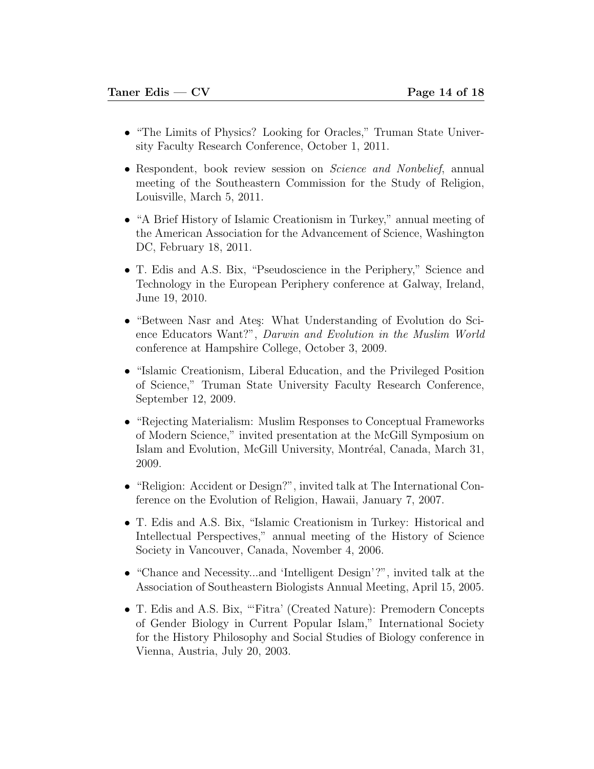- "The Limits of Physics? Looking for Oracles," Truman State University Faculty Research Conference, October 1, 2011.
- Respondent, book review session on *Science and Nonbelief*, annual meeting of the Southeastern Commission for the Study of Religion, Louisville, March 5, 2011.
- "A Brief History of Islamic Creationism in Turkey," annual meeting of the American Association for the Advancement of Science, Washington DC, February 18, 2011.
- T. Edis and A.S. Bix, "Pseudoscience in the Periphery," Science and Technology in the European Periphery conference at Galway, Ireland, June 19, 2010.
- "Between Nasr and Ates: What Understanding of Evolution do Science Educators Want?", Darwin and Evolution in the Muslim World conference at Hampshire College, October 3, 2009.
- "Islamic Creationism, Liberal Education, and the Privileged Position of Science," Truman State University Faculty Research Conference, September 12, 2009.
- "Rejecting Materialism: Muslim Responses to Conceptual Frameworks of Modern Science," invited presentation at the McGill Symposium on Islam and Evolution, McGill University, Montréal, Canada, March 31, 2009.
- "Religion: Accident or Design?", invited talk at The International Conference on the Evolution of Religion, Hawaii, January 7, 2007.
- T. Edis and A.S. Bix, "Islamic Creationism in Turkey: Historical and Intellectual Perspectives," annual meeting of the History of Science Society in Vancouver, Canada, November 4, 2006.
- "Chance and Necessity...and 'Intelligent Design'?", invited talk at the Association of Southeastern Biologists Annual Meeting, April 15, 2005.
- T. Edis and A.S. Bix, "'Fitra' (Created Nature): Premodern Concepts of Gender Biology in Current Popular Islam," International Society for the History Philosophy and Social Studies of Biology conference in Vienna, Austria, July 20, 2003.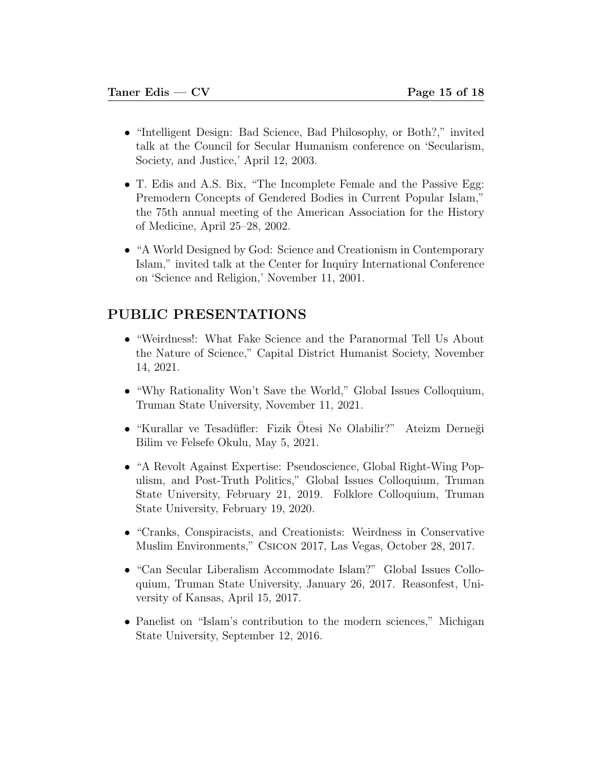- "Intelligent Design: Bad Science, Bad Philosophy, or Both?," invited talk at the Council for Secular Humanism conference on 'Secularism, Society, and Justice,' April 12, 2003.
- T. Edis and A.S. Bix, "The Incomplete Female and the Passive Egg: Premodern Concepts of Gendered Bodies in Current Popular Islam," the 75th annual meeting of the American Association for the History of Medicine, April 25–28, 2002.
- "A World Designed by God: Science and Creationism in Contemporary Islam," invited talk at the Center for Inquiry International Conference on 'Science and Religion,' November 11, 2001.

## PUBLIC PRESENTATIONS

- "Weirdness!: What Fake Science and the Paranormal Tell Us About the Nature of Science," Capital District Humanist Society, November 14, 2021.
- "Why Rationality Won't Save the World," Global Issues Colloquium, Truman State University, November 11, 2021.
- "Kurallar ve Tesadüfler: Fizik Otesi Ne Olabilir?" Ateizm Derneği Bilim ve Felsefe Okulu, May 5, 2021.
- "A Revolt Against Expertise: Pseudoscience, Global Right-Wing Populism, and Post-Truth Politics," Global Issues Colloquium, Truman State University, February 21, 2019. Folklore Colloquium, Truman State University, February 19, 2020.
- "Cranks, Conspiracists, and Creationists: Weirdness in Conservative Muslim Environments," Csicon 2017, Las Vegas, October 28, 2017.
- "Can Secular Liberalism Accommodate Islam?" Global Issues Colloquium, Truman State University, January 26, 2017. Reasonfest, University of Kansas, April 15, 2017.
- Panelist on "Islam's contribution to the modern sciences," Michigan State University, September 12, 2016.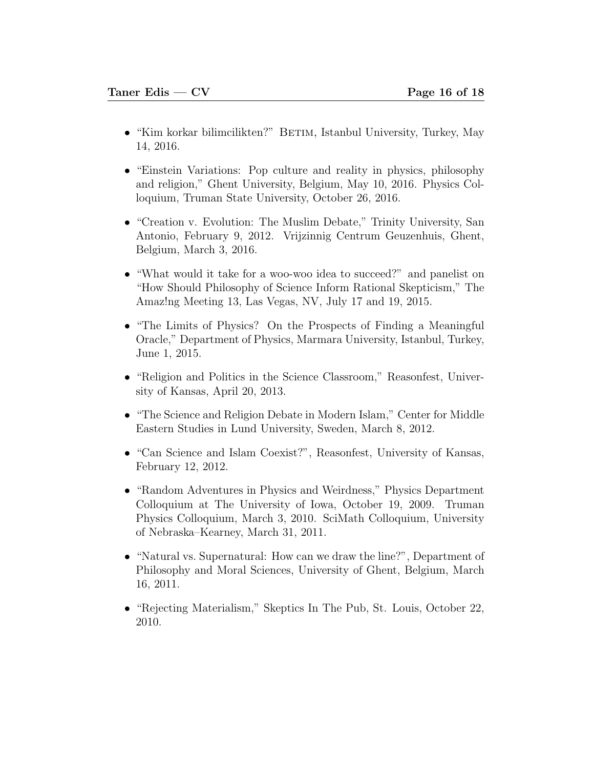- "Kim korkar bilimcilikten?" BETIM, Istanbul University, Turkey, May 14, 2016.
- "Einstein Variations: Pop culture and reality in physics, philosophy and religion," Ghent University, Belgium, May 10, 2016. Physics Colloquium, Truman State University, October 26, 2016.
- "Creation v. Evolution: The Muslim Debate," Trinity University, San Antonio, February 9, 2012. Vrijzinnig Centrum Geuzenhuis, Ghent, Belgium, March 3, 2016.
- "What would it take for a woo-woo idea to succeed?" and panelist on "How Should Philosophy of Science Inform Rational Skepticism," The Amaz!ng Meeting 13, Las Vegas, NV, July 17 and 19, 2015.
- "The Limits of Physics? On the Prospects of Finding a Meaningful Oracle," Department of Physics, Marmara University, Istanbul, Turkey, June 1, 2015.
- "Religion and Politics in the Science Classroom," Reasonfest, University of Kansas, April 20, 2013.
- "The Science and Religion Debate in Modern Islam," Center for Middle Eastern Studies in Lund University, Sweden, March 8, 2012.
- "Can Science and Islam Coexist?", Reasonfest, University of Kansas, February 12, 2012.
- "Random Adventures in Physics and Weirdness," Physics Department Colloquium at The University of Iowa, October 19, 2009. Truman Physics Colloquium, March 3, 2010. SciMath Colloquium, University of Nebraska–Kearney, March 31, 2011.
- "Natural vs. Supernatural: How can we draw the line?", Department of Philosophy and Moral Sciences, University of Ghent, Belgium, March 16, 2011.
- "Rejecting Materialism," Skeptics In The Pub, St. Louis, October 22, 2010.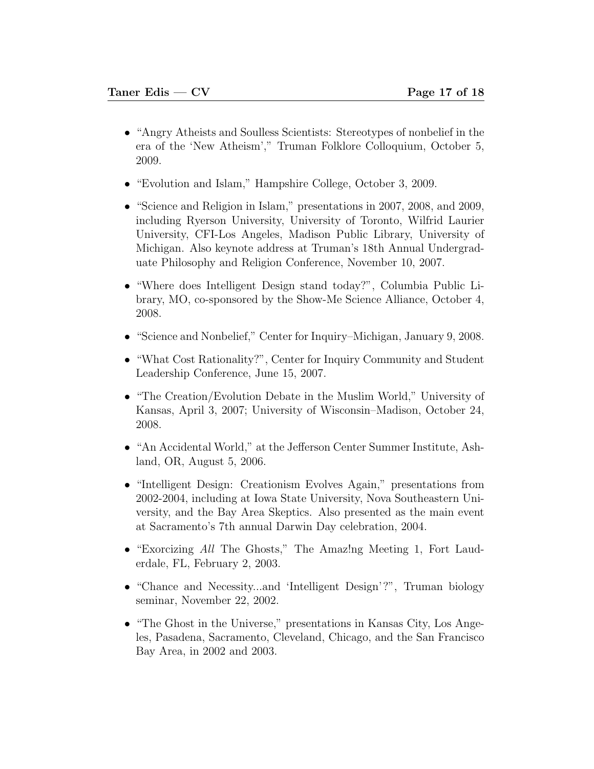- "Angry Atheists and Soulless Scientists: Stereotypes of nonbelief in the era of the 'New Atheism'," Truman Folklore Colloquium, October 5, 2009.
- "Evolution and Islam," Hampshire College, October 3, 2009.
- "Science and Religion in Islam," presentations in 2007, 2008, and 2009, including Ryerson University, University of Toronto, Wilfrid Laurier University, CFI-Los Angeles, Madison Public Library, University of Michigan. Also keynote address at Truman's 18th Annual Undergraduate Philosophy and Religion Conference, November 10, 2007.
- "Where does Intelligent Design stand today?", Columbia Public Library, MO, co-sponsored by the Show-Me Science Alliance, October 4, 2008.
- "Science and Nonbelief," Center for Inquiry–Michigan, January 9, 2008.
- "What Cost Rationality?", Center for Inquiry Community and Student Leadership Conference, June 15, 2007.
- "The Creation/Evolution Debate in the Muslim World," University of Kansas, April 3, 2007; University of Wisconsin–Madison, October 24, 2008.
- "An Accidental World," at the Jefferson Center Summer Institute, Ashland, OR, August 5, 2006.
- "Intelligent Design: Creationism Evolves Again," presentations from 2002-2004, including at Iowa State University, Nova Southeastern University, and the Bay Area Skeptics. Also presented as the main event at Sacramento's 7th annual Darwin Day celebration, 2004.
- "Exorcizing All The Ghosts," The Amaz!ng Meeting 1, Fort Lauderdale, FL, February 2, 2003.
- "Chance and Necessity...and 'Intelligent Design'?", Truman biology seminar, November 22, 2002.
- "The Ghost in the Universe," presentations in Kansas City, Los Angeles, Pasadena, Sacramento, Cleveland, Chicago, and the San Francisco Bay Area, in 2002 and 2003.